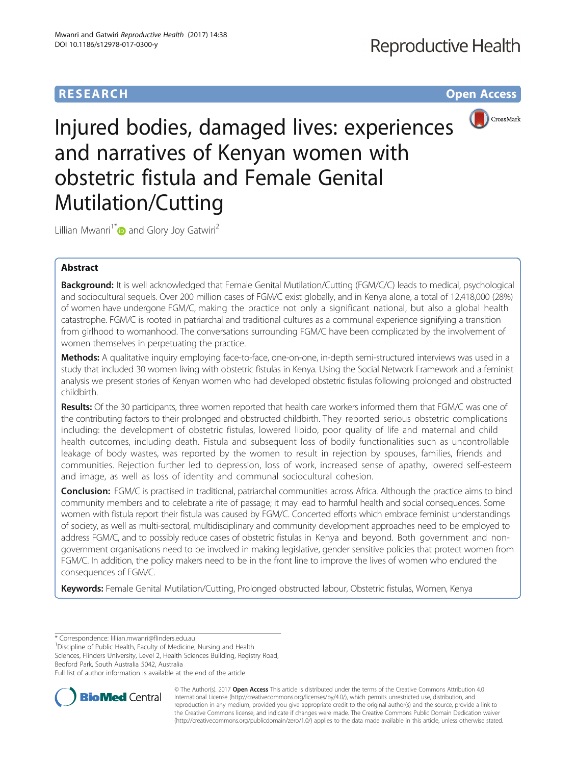# **RESEARCH RESEARCH** *CHECK <b>CHECK*



Injured bodies, damaged lives: experiences and narratives of Kenyan women with obstetric fistula and Female Genital Mutilation/Cutting

Lillian Mwanri<sup>1[\\*](http://orcid.org/0000-0002-5792-7785)</sup> and Glory Joy Gatwiri<sup>2</sup>

# Abstract

Background: It is well acknowledged that Female Genital Mutilation/Cutting (FGM/C/C) leads to medical, psychological and sociocultural sequels. Over 200 million cases of FGM/C exist globally, and in Kenya alone, a total of 12,418,000 (28%) of women have undergone FGM/C, making the practice not only a significant national, but also a global health catastrophe. FGM/C is rooted in patriarchal and traditional cultures as a communal experience signifying a transition from girlhood to womanhood. The conversations surrounding FGM/C have been complicated by the involvement of women themselves in perpetuating the practice.

Methods: A qualitative inquiry employing face-to-face, one-on-one, in-depth semi-structured interviews was used in a study that included 30 women living with obstetric fistulas in Kenya. Using the Social Network Framework and a feminist analysis we present stories of Kenyan women who had developed obstetric fistulas following prolonged and obstructed childbirth.

Results: Of the 30 participants, three women reported that health care workers informed them that FGM/C was one of the contributing factors to their prolonged and obstructed childbirth. They reported serious obstetric complications including: the development of obstetric fistulas, lowered libido, poor quality of life and maternal and child health outcomes, including death. Fistula and subsequent loss of bodily functionalities such as uncontrollable leakage of body wastes, was reported by the women to result in rejection by spouses, families, friends and communities. Rejection further led to depression, loss of work, increased sense of apathy, lowered self-esteem and image, as well as loss of identity and communal sociocultural cohesion.

**Conclusion:** FGM/C is practised in traditional, patriarchal communities across Africa. Although the practice aims to bind community members and to celebrate a rite of passage; it may lead to harmful health and social consequences. Some women with fistula report their fistula was caused by FGM/C. Concerted efforts which embrace feminist understandings of society, as well as multi-sectoral, multidisciplinary and community development approaches need to be employed to address FGM/C, and to possibly reduce cases of obstetric fistulas in Kenya and beyond. Both government and nongovernment organisations need to be involved in making legislative, gender sensitive policies that protect women from FGM/C. In addition, the policy makers need to be in the front line to improve the lives of women who endured the consequences of FGM/C.

Keywords: Female Genital Mutilation/Cutting, Prolonged obstructed labour, Obstetric fistulas, Women, Kenya

\* Correspondence: [lillian.mwanri@flinders.edu.au](mailto:lillian.mwanri@flinders.edu.au) <sup>1</sup>

<sup>1</sup> Discipline of Public Health, Faculty of Medicine, Nursing and Health

Sciences, Flinders University, Level 2, Health Sciences Building, Registry Road, Bedford Park, South Australia 5042, Australia

Full list of author information is available at the end of the article



© The Author(s). 2017 **Open Access** This article is distributed under the terms of the Creative Commons Attribution 4.0 International License [\(http://creativecommons.org/licenses/by/4.0/](http://creativecommons.org/licenses/by/4.0/)), which permits unrestricted use, distribution, and reproduction in any medium, provided you give appropriate credit to the original author(s) and the source, provide a link to the Creative Commons license, and indicate if changes were made. The Creative Commons Public Domain Dedication waiver [\(http://creativecommons.org/publicdomain/zero/1.0/](http://creativecommons.org/publicdomain/zero/1.0/)) applies to the data made available in this article, unless otherwise stated.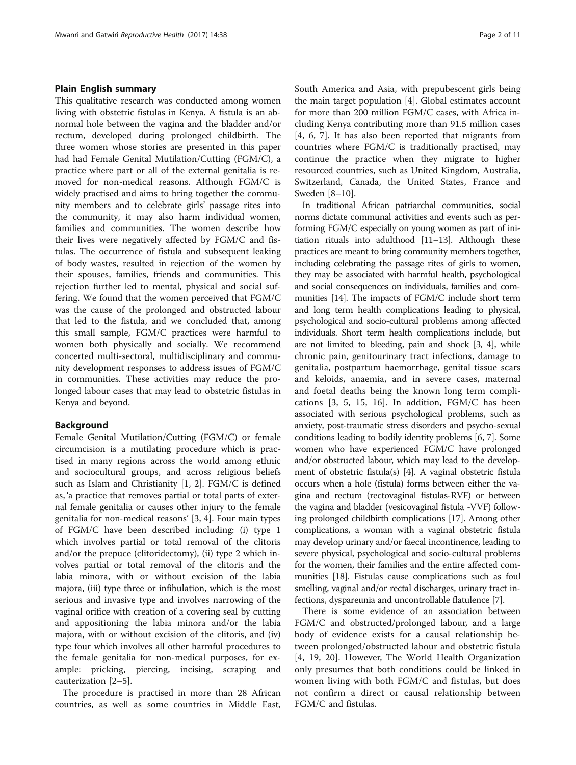### Plain English summary

This qualitative research was conducted among women living with obstetric fistulas in Kenya. A fistula is an abnormal hole between the vagina and the bladder and/or rectum, developed during prolonged childbirth. The three women whose stories are presented in this paper had had Female Genital Mutilation/Cutting (FGM/C), a practice where part or all of the external genitalia is removed for non-medical reasons. Although FGM/C is widely practised and aims to bring together the community members and to celebrate girls' passage rites into the community, it may also harm individual women, families and communities. The women describe how their lives were negatively affected by FGM/C and fistulas. The occurrence of fistula and subsequent leaking of body wastes, resulted in rejection of the women by their spouses, families, friends and communities. This rejection further led to mental, physical and social suffering. We found that the women perceived that FGM/C was the cause of the prolonged and obstructed labour that led to the fistula, and we concluded that, among this small sample, FGM/C practices were harmful to women both physically and socially. We recommend concerted multi-sectoral, multidisciplinary and community development responses to address issues of FGM/C in communities. These activities may reduce the prolonged labour cases that may lead to obstetric fistulas in Kenya and beyond.

#### Background

Female Genital Mutilation/Cutting (FGM/C) or female circumcision is a mutilating procedure which is practised in many regions across the world among ethnic and sociocultural groups, and across religious beliefs such as Islam and Christianity [\[1](#page-9-0), [2\]](#page-9-0). FGM/C is defined as, 'a practice that removes partial or total parts of external female genitalia or causes other injury to the female genitalia for non-medical reasons' [\[3, 4\]](#page-9-0). Four main types of FGM/C have been described including: (i) type 1 which involves partial or total removal of the clitoris and/or the prepuce (clitoridectomy), (ii) type 2 which involves partial or total removal of the clitoris and the labia minora, with or without excision of the labia majora, (iii) type three or infibulation, which is the most serious and invasive type and involves narrowing of the vaginal orifice with creation of a covering seal by cutting and appositioning the labia minora and/or the labia majora, with or without excision of the clitoris, and (iv) type four which involves all other harmful procedures to the female genitalia for non-medical purposes, for example: pricking, piercing, incising, scraping and cauterization [[2](#page-9-0)–[5\]](#page-9-0).

The procedure is practised in more than 28 African countries, as well as some countries in Middle East,

South America and Asia, with prepubescent girls being the main target population [[4\]](#page-9-0). Global estimates account for more than 200 million FGM/C cases, with Africa including Kenya contributing more than 91.5 million cases [[4, 6](#page-9-0), [7\]](#page-9-0). It has also been reported that migrants from countries where FGM/C is traditionally practised, may continue the practice when they migrate to higher resourced countries, such as United Kingdom, Australia, Switzerland, Canada, the United States, France and Sweden [\[8](#page-9-0)–[10\]](#page-9-0).

In traditional African patriarchal communities, social norms dictate communal activities and events such as performing FGM/C especially on young women as part of initiation rituals into adulthood [\[11](#page-9-0)–[13](#page-9-0)]. Although these practices are meant to bring community members together, including celebrating the passage rites of girls to women, they may be associated with harmful health, psychological and social consequences on individuals, families and communities [\[14\]](#page-9-0). The impacts of FGM/C include short term and long term health complications leading to physical, psychological and socio-cultural problems among affected individuals. Short term health complications include, but are not limited to bleeding, pain and shock [\[3](#page-9-0), [4](#page-9-0)], while chronic pain, genitourinary tract infections, damage to genitalia, postpartum haemorrhage, genital tissue scars and keloids, anaemia, and in severe cases, maternal and foetal deaths being the known long term complications [[3, 5](#page-9-0), [15, 16](#page-9-0)]. In addition, FGM/C has been associated with serious psychological problems, such as anxiety, post-traumatic stress disorders and psycho-sexual conditions leading to bodily identity problems [[6, 7](#page-9-0)]. Some women who have experienced FGM/C have prolonged and/or obstructed labour, which may lead to the development of obstetric fistula(s) [\[4](#page-9-0)]. A vaginal obstetric fistula occurs when a hole (fistula) forms between either the vagina and rectum (rectovaginal fistulas-RVF) or between the vagina and bladder (vesicovaginal fistula -VVF) following prolonged childbirth complications [[17](#page-9-0)]. Among other complications, a woman with a vaginal obstetric fistula may develop urinary and/or faecal incontinence, leading to severe physical, psychological and socio-cultural problems for the women, their families and the entire affected communities [[18](#page-9-0)]. Fistulas cause complications such as foul smelling, vaginal and/or rectal discharges, urinary tract infections, dyspareunia and uncontrollable flatulence [\[7\]](#page-9-0).

There is some evidence of an association between FGM/C and obstructed/prolonged labour, and a large body of evidence exists for a causal relationship between prolonged/obstructed labour and obstetric fistula [[4, 19, 20\]](#page-9-0). However, The World Health Organization only presumes that both conditions could be linked in women living with both FGM/C and fistulas, but does not confirm a direct or causal relationship between FGM/C and fistulas.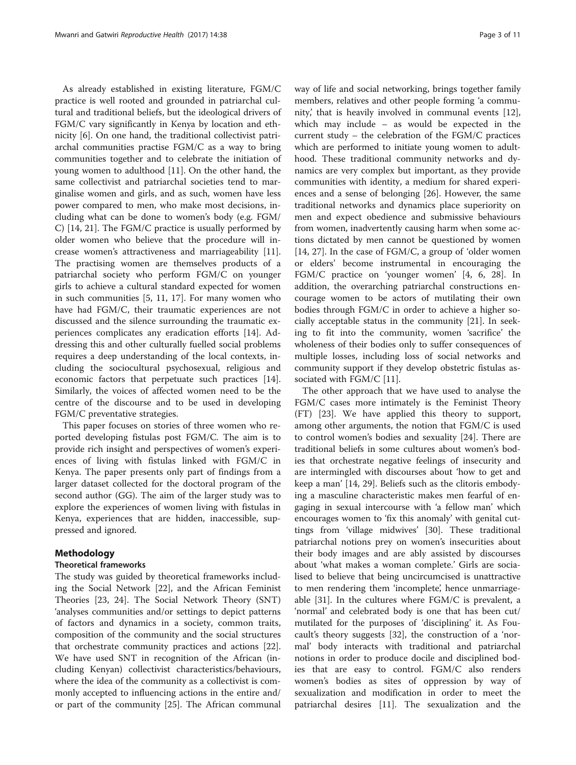As already established in existing literature, FGM/C practice is well rooted and grounded in patriarchal cultural and traditional beliefs, but the ideological drivers of FGM/C vary significantly in Kenya by location and ethnicity [[6\]](#page-9-0). On one hand, the traditional collectivist patriarchal communities practise FGM/C as a way to bring communities together and to celebrate the initiation of young women to adulthood [[11\]](#page-9-0). On the other hand, the same collectivist and patriarchal societies tend to marginalise women and girls, and as such, women have less power compared to men, who make most decisions, including what can be done to women's body (e.g. FGM/ C) [[14, 21\]](#page-9-0). The FGM/C practice is usually performed by older women who believe that the procedure will increase women's attractiveness and marriageability [\[11](#page-9-0)]. The practising women are themselves products of a patriarchal society who perform FGM/C on younger girls to achieve a cultural standard expected for women in such communities [[5, 11](#page-9-0), [17\]](#page-9-0). For many women who have had FGM/C, their traumatic experiences are not discussed and the silence surrounding the traumatic experiences complicates any eradication efforts [[14\]](#page-9-0). Addressing this and other culturally fuelled social problems requires a deep understanding of the local contexts, including the sociocultural psychosexual, religious and economic factors that perpetuate such practices [\[14](#page-9-0)]. Similarly, the voices of affected women need to be the centre of the discourse and to be used in developing FGM/C preventative strategies.

This paper focuses on stories of three women who reported developing fistulas post FGM/C. The aim is to provide rich insight and perspectives of women's experiences of living with fistulas linked with FGM/C in Kenya. The paper presents only part of findings from a larger dataset collected for the doctoral program of the second author (GG). The aim of the larger study was to explore the experiences of women living with fistulas in Kenya, experiences that are hidden, inaccessible, suppressed and ignored.

### Methodology

### Theoretical frameworks

The study was guided by theoretical frameworks including the Social Network [[22](#page-9-0)], and the African Feminist Theories [[23, 24](#page-9-0)]. The Social Network Theory (SNT) 'analyses communities and/or settings to depict patterns of factors and dynamics in a society, common traits, composition of the community and the social structures that orchestrate community practices and actions [\[22](#page-9-0)]. We have used SNT in recognition of the African (including Kenyan) collectivist characteristics/behaviours, where the idea of the community as a collectivist is commonly accepted to influencing actions in the entire and/ or part of the community [\[25\]](#page-9-0). The African communal way of life and social networking, brings together family members, relatives and other people forming 'a commu-nity,' that is heavily involved in communal events [\[12](#page-9-0)], which may include – as would be expected in the current study – the celebration of the FGM/C practices which are performed to initiate young women to adulthood. These traditional community networks and dynamics are very complex but important, as they provide communities with identity, a medium for shared experiences and a sense of belonging [\[26\]](#page-9-0). However, the same traditional networks and dynamics place superiority on men and expect obedience and submissive behaviours from women, inadvertently causing harm when some actions dictated by men cannot be questioned by women [[14, 27\]](#page-9-0). In the case of  $FGM/C$ , a group of 'older women or elders' become instrumental in encouraging the FGM/C practice on 'younger women' [\[4](#page-9-0), [6, 28](#page-9-0)]. In addition, the overarching patriarchal constructions encourage women to be actors of mutilating their own bodies through FGM/C in order to achieve a higher socially acceptable status in the community [\[21\]](#page-9-0). In seeking to fit into the community, women 'sacrifice' the wholeness of their bodies only to suffer consequences of multiple losses, including loss of social networks and community support if they develop obstetric fistulas as-sociated with FGM/C [\[11](#page-9-0)].

The other approach that we have used to analyse the FGM/C cases more intimately is the Feminist Theory (FT) [[23](#page-9-0)]. We have applied this theory to support, among other arguments, the notion that FGM/C is used to control women's bodies and sexuality [\[24](#page-9-0)]. There are traditional beliefs in some cultures about women's bodies that orchestrate negative feelings of insecurity and are intermingled with discourses about 'how to get and keep a man' [\[14, 29\]](#page-9-0). Beliefs such as the clitoris embodying a masculine characteristic makes men fearful of engaging in sexual intercourse with 'a fellow man' which encourages women to 'fix this anomaly' with genital cuttings from 'village midwives' [[30\]](#page-9-0). These traditional patriarchal notions prey on women's insecurities about their body images and are ably assisted by discourses about 'what makes a woman complete.' Girls are socialised to believe that being uncircumcised is unattractive to men rendering them 'incomplete', hence unmarriageable [[31](#page-9-0)]. In the cultures where FGM/C is prevalent, a 'normal' and celebrated body is one that has been cut/ mutilated for the purposes of 'disciplining' it. As Foucault's theory suggests [[32](#page-9-0)], the construction of a 'normal' body interacts with traditional and patriarchal notions in order to produce docile and disciplined bodies that are easy to control. FGM/C also renders women's bodies as sites of oppression by way of sexualization and modification in order to meet the patriarchal desires [\[11\]](#page-9-0). The sexualization and the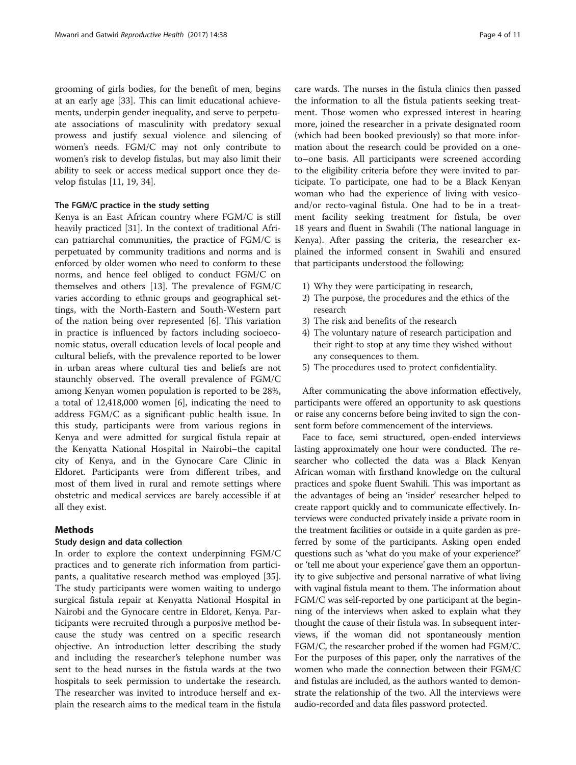grooming of girls bodies, for the benefit of men, begins at an early age [[33\]](#page-9-0). This can limit educational achievements, underpin gender inequality, and serve to perpetuate associations of masculinity with predatory sexual prowess and justify sexual violence and silencing of women's needs. FGM/C may not only contribute to women's risk to develop fistulas, but may also limit their ability to seek or access medical support once they develop fistulas [\[11, 19, 34\]](#page-9-0).

#### The FGM/C practice in the study setting

Kenya is an East African country where FGM/C is still heavily practiced [\[31](#page-9-0)]. In the context of traditional African patriarchal communities, the practice of FGM/C is perpetuated by community traditions and norms and is enforced by older women who need to conform to these norms, and hence feel obliged to conduct FGM/C on themselves and others [\[13](#page-9-0)]. The prevalence of FGM/C varies according to ethnic groups and geographical settings, with the North-Eastern and South-Western part of the nation being over represented [\[6](#page-9-0)]. This variation in practice is influenced by factors including socioeconomic status, overall education levels of local people and cultural beliefs, with the prevalence reported to be lower in urban areas where cultural ties and beliefs are not staunchly observed. The overall prevalence of FGM/C among Kenyan women population is reported to be 28%, a total of 12,418,000 women [[6\]](#page-9-0), indicating the need to address FGM/C as a significant public health issue. In this study, participants were from various regions in Kenya and were admitted for surgical fistula repair at the Kenyatta National Hospital in Nairobi–the capital city of Kenya, and in the Gynocare Care Clinic in Eldoret. Participants were from different tribes, and most of them lived in rural and remote settings where obstetric and medical services are barely accessible if at all they exist.

#### Methods

### Study design and data collection

In order to explore the context underpinning FGM/C practices and to generate rich information from participants, a qualitative research method was employed [\[35](#page-9-0)]. The study participants were women waiting to undergo surgical fistula repair at Kenyatta National Hospital in Nairobi and the Gynocare centre in Eldoret, Kenya. Participants were recruited through a purposive method because the study was centred on a specific research objective. An introduction letter describing the study and including the researcher's telephone number was sent to the head nurses in the fistula wards at the two hospitals to seek permission to undertake the research. The researcher was invited to introduce herself and explain the research aims to the medical team in the fistula care wards. The nurses in the fistula clinics then passed the information to all the fistula patients seeking treatment. Those women who expressed interest in hearing more, joined the researcher in a private designated room (which had been booked previously) so that more information about the research could be provided on a oneto–one basis. All participants were screened according to the eligibility criteria before they were invited to participate. To participate, one had to be a Black Kenyan woman who had the experience of living with vesicoand/or recto-vaginal fistula. One had to be in a treatment facility seeking treatment for fistula, be over 18 years and fluent in Swahili (The national language in Kenya). After passing the criteria, the researcher explained the informed consent in Swahili and ensured that participants understood the following:

- 1) Why they were participating in research,
- 2) The purpose, the procedures and the ethics of the research
- 3) The risk and benefits of the research
- 4) The voluntary nature of research participation and their right to stop at any time they wished without any consequences to them.
- 5) The procedures used to protect confidentiality.

After communicating the above information effectively, participants were offered an opportunity to ask questions or raise any concerns before being invited to sign the consent form before commencement of the interviews.

Face to face, semi structured, open-ended interviews lasting approximately one hour were conducted. The researcher who collected the data was a Black Kenyan African woman with firsthand knowledge on the cultural practices and spoke fluent Swahili. This was important as the advantages of being an 'insider' researcher helped to create rapport quickly and to communicate effectively. Interviews were conducted privately inside a private room in the treatment facilities or outside in a quite garden as preferred by some of the participants. Asking open ended questions such as 'what do you make of your experience?' or 'tell me about your experience' gave them an opportunity to give subjective and personal narrative of what living with vaginal fistula meant to them. The information about FGM/C was self-reported by one participant at the beginning of the interviews when asked to explain what they thought the cause of their fistula was. In subsequent interviews, if the woman did not spontaneously mention FGM/C, the researcher probed if the women had FGM/C. For the purposes of this paper, only the narratives of the women who made the connection between their FGM/C and fistulas are included, as the authors wanted to demonstrate the relationship of the two. All the interviews were audio-recorded and data files password protected.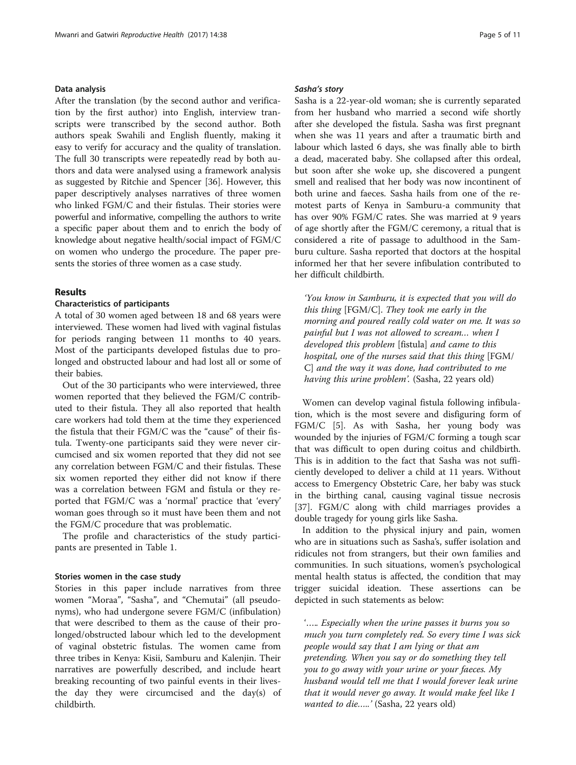### Data analysis

After the translation (by the second author and verification by the first author) into English, interview transcripts were transcribed by the second author. Both authors speak Swahili and English fluently, making it easy to verify for accuracy and the quality of translation. The full 30 transcripts were repeatedly read by both authors and data were analysed using a framework analysis as suggested by Ritchie and Spencer [\[36](#page-9-0)]. However, this paper descriptively analyses narratives of three women who linked FGM/C and their fistulas. Their stories were powerful and informative, compelling the authors to write a specific paper about them and to enrich the body of knowledge about negative health/social impact of FGM/C on women who undergo the procedure. The paper presents the stories of three women as a case study.

### Results

### Characteristics of participants

A total of 30 women aged between 18 and 68 years were interviewed. These women had lived with vaginal fistulas for periods ranging between 11 months to 40 years. Most of the participants developed fistulas due to prolonged and obstructed labour and had lost all or some of their babies.

Out of the 30 participants who were interviewed, three women reported that they believed the FGM/C contributed to their fistula. They all also reported that health care workers had told them at the time they experienced the fistula that their FGM/C was the "cause" of their fistula. Twenty-one participants said they were never circumcised and six women reported that they did not see any correlation between FGM/C and their fistulas. These six women reported they either did not know if there was a correlation between FGM and fistula or they reported that FGM/C was a 'normal' practice that 'every' woman goes through so it must have been them and not the FGM/C procedure that was problematic.

The profile and characteristics of the study participants are presented in Table [1.](#page-5-0)

#### Stories women in the case study

Stories in this paper include narratives from three women "Moraa", "Sasha", and "Chemutai" (all pseudonyms), who had undergone severe FGM/C (infibulation) that were described to them as the cause of their prolonged/obstructed labour which led to the development of vaginal obstetric fistulas. The women came from three tribes in Kenya: Kisii, Samburu and Kalenjin. Their narratives are powerfully described, and include heart breaking recounting of two painful events in their livesthe day they were circumcised and the day(s) of childbirth.

### Sasha's story

Sasha is a 22-year-old woman; she is currently separated from her husband who married a second wife shortly after she developed the fistula. Sasha was first pregnant when she was 11 years and after a traumatic birth and labour which lasted 6 days, she was finally able to birth a dead, macerated baby. She collapsed after this ordeal, but soon after she woke up, she discovered a pungent smell and realised that her body was now incontinent of both urine and faeces. Sasha hails from one of the remotest parts of Kenya in Samburu-a community that has over 90% FGM/C rates. She was married at 9 years of age shortly after the FGM/C ceremony, a ritual that is considered a rite of passage to adulthood in the Samburu culture. Sasha reported that doctors at the hospital informed her that her severe infibulation contributed to her difficult childbirth.

'You know in Samburu, it is expected that you will do this thing [FGM/C]. They took me early in the morning and poured really cold water on me. It was so painful but I was not allowed to scream… when I developed this problem [fistula] and came to this hospital, one of the nurses said that this thing [FGM/ C] and the way it was done, had contributed to me having this urine problem'. (Sasha, 22 years old)

Women can develop vaginal fistula following infibulation, which is the most severe and disfiguring form of FGM/C [\[5](#page-9-0)]. As with Sasha, her young body was wounded by the injuries of FGM/C forming a tough scar that was difficult to open during coitus and childbirth. This is in addition to the fact that Sasha was not sufficiently developed to deliver a child at 11 years. Without access to Emergency Obstetric Care, her baby was stuck in the birthing canal, causing vaginal tissue necrosis [[37\]](#page-9-0). FGM/C along with child marriages provides a double tragedy for young girls like Sasha.

In addition to the physical injury and pain, women who are in situations such as Sasha's, suffer isolation and ridicules not from strangers, but their own families and communities. In such situations, women's psychological mental health status is affected, the condition that may trigger suicidal ideation. These assertions can be depicted in such statements as below:

'….. Especially when the urine passes it burns you so much you turn completely red. So every time I was sick people would say that I am lying or that am pretending. When you say or do something they tell you to go away with your urine or your faeces. My husband would tell me that I would forever leak urine that it would never go away. It would make feel like I wanted to die.....' (Sasha, 22 years old)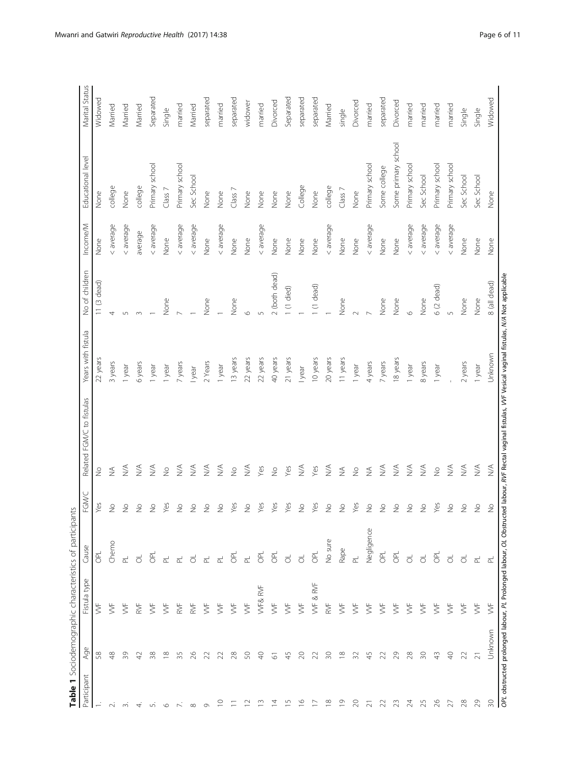<span id="page-5-0"></span>

|                   |                 |                          | Table 1 Sociodemographic characteristics of participants |                          |                                                                                                                                                                                 |                    |                |           |                     |                |
|-------------------|-----------------|--------------------------|----------------------------------------------------------|--------------------------|---------------------------------------------------------------------------------------------------------------------------------------------------------------------------------|--------------------|----------------|-----------|---------------------|----------------|
| Participant       | Age             | Fistula type             | Cause                                                    | FGM/C                    | Related FGM/C to fistulas                                                                                                                                                       | Years with fistula | No of children | Income/M  | Educational level   | Marital Status |
|                   | 58              | $\overline{\mathcal{E}}$ | <b>PL</b>                                                | Yes                      | $\frac{1}{2}$                                                                                                                                                                   | 22 years           | $11(3$ dead)   | None      | None                | Widowed        |
| $\sim$            | $\frac{8}{5}$   | $\overline{\mathcal{S}}$ | Chemo                                                    | $\stackrel{\circ}{\geq}$ | $\lessgtr$                                                                                                                                                                      | 3 years            | 4              | < average | college             | Married        |
| ന്                | 39              | $\overline{\mathcal{S}}$ | $\Xi$                                                    | $\frac{1}{2}$            | $\lessgtr$                                                                                                                                                                      | 1 year             | 5              | < average | None                | Married        |
| 4.                | $\overline{4}$  | RVF                      | $\overline{\circ}$                                       | $\frac{1}{2}$            | $\lessgtr$                                                                                                                                                                      | 6 years            | $\infty$       | average   | college             | Married        |
| LO.               | $\frac{8}{2}$   | $\geqslant$              | $\overline{\sigma}$                                      | $\stackrel{\circ}{\geq}$ | $\stackrel{\triangle}{\geq}$                                                                                                                                                    | 1 year             |                | < average | Primary school      | Separated      |
| $\circ$           | $\approx$       | \\F                      | $\Xi$                                                    | Yes                      | $\frac{1}{2}$                                                                                                                                                                   | 1 year             | None           | None      | Class 7             | Single         |
| $\sim$            | 35              | RVF                      | $\overline{\mathtt{r}}$                                  | $\geq$                   | $\lessgtr$                                                                                                                                                                      | 7 years            |                | < average | Primary school      | married        |
| $\infty$          | $\frac{8}{5}$   | RVF                      | $\trianglelefteq$                                        | $\geq$                   | $\stackrel{\triangle}{\geq}$                                                                                                                                                    | I year             |                | < average | Sec School          | Married        |
| $\sigma$          | 22              | \\F                      | $\overline{\mathbb{L}}$                                  | $\frac{1}{2}$            | $\lessgtr$                                                                                                                                                                      | 2 Years            | None           | None      | None                | separated      |
| $\supseteq$       | 22              | $\gtrless$               | $\overline{\mathbb{L}}$                                  | $\geq$                   | $\lessgtr$                                                                                                                                                                      | 1 year             |                | < average | None                | married        |
|                   | 28              | $\gtrless$               | $\overline{\sigma}$                                      | Yes                      | $\frac{1}{2}$                                                                                                                                                                   | 13 years           | None           | None      | Class 7             | separated      |
|                   | S               | $\gtrless$               | $\overline{\mathbb{L}}$                                  | $\frac{1}{2}$            | $\stackrel{\triangleleft}{\geq}$                                                                                                                                                | 22 years           | $\circ$        | None      | None                | widower        |
| $\tilde{=}$       | $\Theta$        | RVF<br>WF&               | $\overline{5}$                                           | Yes                      | Yes                                                                                                                                                                             | 22 years           | 5              | < average | None                | married        |
| $\overline{4}$    | 6               | $\gtrless$               | $\overline{8}$                                           | Yes                      | $\frac{9}{2}$                                                                                                                                                                   | 40 years           | 2 (both dead)  | None      | None                | Divorced       |
| 은                 | 45              | $\gtrless$               | $\overrightarrow{\bigcirc}$                              | Yes                      | Yes                                                                                                                                                                             | 21 years           | $1(1$ died)    | None      | None                | Separated      |
| $\frac{6}{1}$     | $\approx$       | $\gtrless$               | $\overline{\circ}$                                       | $\stackrel{\circ}{\geq}$ | $\lessgtr$                                                                                                                                                                      | I year             |                | None      | College             | separated      |
|                   | 22              | RVF<br>$\mathsf{WF}\ \&$ | $\overline{\mathrm{d}}$                                  | Yes                      | Yes                                                                                                                                                                             | 10 years           | 1 (1 dead)     | None      | None                | separated      |
| ≌                 | $\approx$       | RVF                      | No sure                                                  | $\gtrsim$                | $\lessgtr$                                                                                                                                                                      | 20 years           |                | < average | college             | Married        |
| $\overline{0}$    | $\frac{8}{10}$  | $\overline{\leq}$        | Rape                                                     | $\stackrel{\circ}{\geq}$ | $\lessgtr$                                                                                                                                                                      | 11 years           | None           | None      | Class 7             | single         |
| $\approx$         | $\approx$       | $\geqslant$              | $\overline{\mathbb{L}}$                                  | Yes                      | $\stackrel{\circ}{\geq}$                                                                                                                                                        | 1 year             |                | None      | None                | Divorced       |
| $\overline{\sim}$ | $\frac{4}{5}$   | ⋚                        | Negligence                                               | $\geq$                   | $\lessgtr$                                                                                                                                                                      | 4 years            |                | < average | Primary school      | married        |
| $\approx$         | 22              | ⋚                        | <b>PL</b>                                                | $\stackrel{\circ}{\geq}$ | $\stackrel{\triangleleft}{\geq}$                                                                                                                                                | 7 years            | None           | None      | Some college        | separated      |
| 23                | 29              | $\geqslant$              | <b>BL</b>                                                | $\geq$                   | $\stackrel{\triangleleft}{\geq}$                                                                                                                                                | 18 years           | None           | None      | Some primary school | Divorced       |
| 24                | 28              | $\overline{\mathcal{S}}$ | $\overrightarrow{C}$                                     | $\stackrel{\circ}{\geq}$ | $\lessgtr$                                                                                                                                                                      | 1 year             | $\circ$        | < average | Primary school      | married        |
| 25                | $\approx$       | ⋚                        | $\overline{\circ}$                                       | $\frac{1}{2}$            | $\lessgtr$                                                                                                                                                                      | 8 years            | None           | < average | Sec School          | married        |
| 26                | $\frac{1}{4}$   | $\overline{\mathcal{E}}$ | $\overline{a}$                                           | Yes                      | $\frac{9}{2}$                                                                                                                                                                   | 1 year             | $6(2$ dead)    | < average | Primary school      | married        |
| $\overline{z}$    | $\infty$        | $\overline{\mathbb{X}}$  | $\overrightarrow{C}$                                     | $\stackrel{\circ}{\geq}$ | $\lessgtr$                                                                                                                                                                      |                    | $\sqrt{2}$     | < average | Primary school      | married        |
| 28                | 22              | $\gtrless$               | $\overline{O}$                                           | $\geq$                   | $\lessgtr$                                                                                                                                                                      | 2 years            | None           | None      | Sec School          | Single         |
| 29                | $\overline{2}1$ | $\overline{\mathcal{S}}$ | 군                                                        | $\frac{\circ}{\sim}$     | $\stackrel{\triangleleft}{\geq}$                                                                                                                                                | 1 year             | None           | None      | Sec School          | Single         |
| $\Im$             | Unknown         | $\lessgtr$               | ᅌ                                                        | $\frac{1}{2}$            | $\lessgtr$                                                                                                                                                                      | Unknown            | 8 (all dead)   | None      | None                | Widowed        |
|                   |                 |                          |                                                          |                          | <i>OPL</i> obstructed prolonged labour, <i>PL</i> Prolonged labour, O <i>L</i> Obstructed labour, RVF Rectal vaginal fistulas, VVF Vesical vaginal fistulas, M/A Not applicable |                    |                |           |                     |                |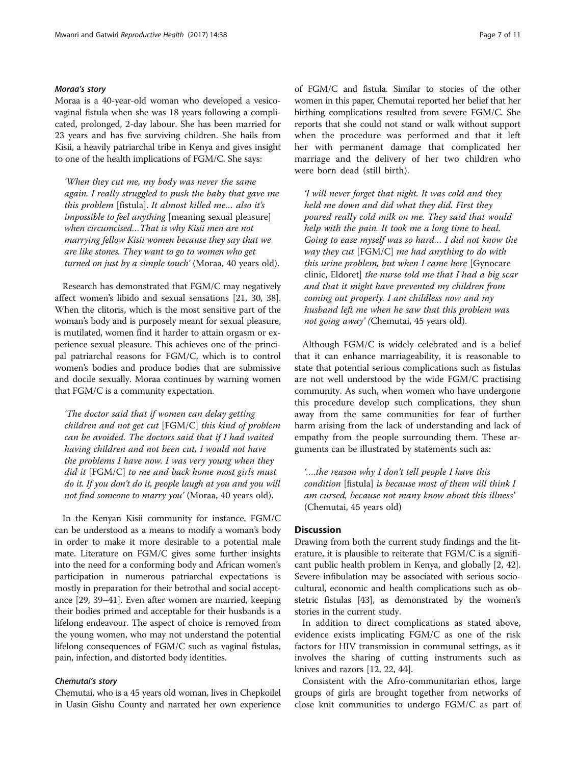#### Moraa's story

Moraa is a 40-year-old woman who developed a vesicovaginal fistula when she was 18 years following a complicated, prolonged, 2-day labour. She has been married for 23 years and has five surviving children. She hails from Kisii, a heavily patriarchal tribe in Kenya and gives insight to one of the health implications of FGM/C. She says:

'When they cut me, my body was never the same again. I really struggled to push the baby that gave me this problem [fistula]. It almost killed me… also it's impossible to feel anything [meaning sexual pleasure] when circumcised…That is why Kisii men are not marrying fellow Kisii women because they say that we are like stones. They want to go to women who get turned on just by a simple touch' (Moraa, 40 years old).

Research has demonstrated that FGM/C may negatively affect women's libido and sexual sensations [[21, 30](#page-9-0), [38](#page-9-0)]. When the clitoris, which is the most sensitive part of the woman's body and is purposely meant for sexual pleasure, is mutilated, women find it harder to attain orgasm or experience sexual pleasure. This achieves one of the principal patriarchal reasons for FGM/C, which is to control women's bodies and produce bodies that are submissive and docile sexually. Moraa continues by warning women that FGM/C is a community expectation.

'The doctor said that if women can delay getting children and not get cut [FGM/C] this kind of problem can be avoided. The doctors said that if I had waited having children and not been cut, I would not have the problems I have now. I was very young when they did it [FGM/C] to me and back home most girls must do it. If you don't do it, people laugh at you and you will not find someone to marry you' (Moraa, 40 years old).

In the Kenyan Kisii community for instance, FGM/C can be understood as a means to modify a woman's body in order to make it more desirable to a potential male mate. Literature on FGM/C gives some further insights into the need for a conforming body and African women's participation in numerous patriarchal expectations is mostly in preparation for their betrothal and social acceptance [\[29](#page-9-0), [39](#page-9-0)–[41\]](#page-9-0). Even after women are married, keeping their bodies primed and acceptable for their husbands is a lifelong endeavour. The aspect of choice is removed from the young women, who may not understand the potential lifelong consequences of FGM/C such as vaginal fistulas, pain, infection, and distorted body identities.

### Chemutai's story

Chemutai, who is a 45 years old woman, lives in Chepkoilel in Uasin Gishu County and narrated her own experience of FGM/C and fistula. Similar to stories of the other women in this paper, Chemutai reported her belief that her birthing complications resulted from severe FGM/C. She reports that she could not stand or walk without support when the procedure was performed and that it left her with permanent damage that complicated her marriage and the delivery of her two children who were born dead (still birth).

'I will never forget that night. It was cold and they held me down and did what they did. First they poured really cold milk on me. They said that would help with the pain. It took me a long time to heal. Going to ease myself was so hard… I did not know the way they cut [FGM/C] me had anything to do with this urine problem, but when I came here [Gynocare clinic, Eldoret] the nurse told me that I had a big scar and that it might have prevented my children from coming out properly. I am childless now and my husband left me when he saw that this problem was not going away' (Chemutai, 45 years old).

Although FGM/C is widely celebrated and is a belief that it can enhance marriageability, it is reasonable to state that potential serious complications such as fistulas are not well understood by the wide FGM/C practising community. As such, when women who have undergone this procedure develop such complications, they shun away from the same communities for fear of further harm arising from the lack of understanding and lack of empathy from the people surrounding them. These arguments can be illustrated by statements such as:

'….the reason why I don't tell people I have this condition [fistula] is because most of them will think I am cursed, because not many know about this illness' (Chemutai, 45 years old)

### **Discussion**

Drawing from both the current study findings and the literature, it is plausible to reiterate that FGM/C is a significant public health problem in Kenya, and globally [[2](#page-9-0), [42](#page-9-0)]. Severe infibulation may be associated with serious sociocultural, economic and health complications such as obstetric fistulas [[43](#page-9-0)], as demonstrated by the women's stories in the current study.

In addition to direct complications as stated above, evidence exists implicating FGM/C as one of the risk factors for HIV transmission in communal settings, as it involves the sharing of cutting instruments such as knives and razors [\[12](#page-9-0), [22, 44\]](#page-9-0).

Consistent with the Afro-communitarian ethos, large groups of girls are brought together from networks of close knit communities to undergo FGM/C as part of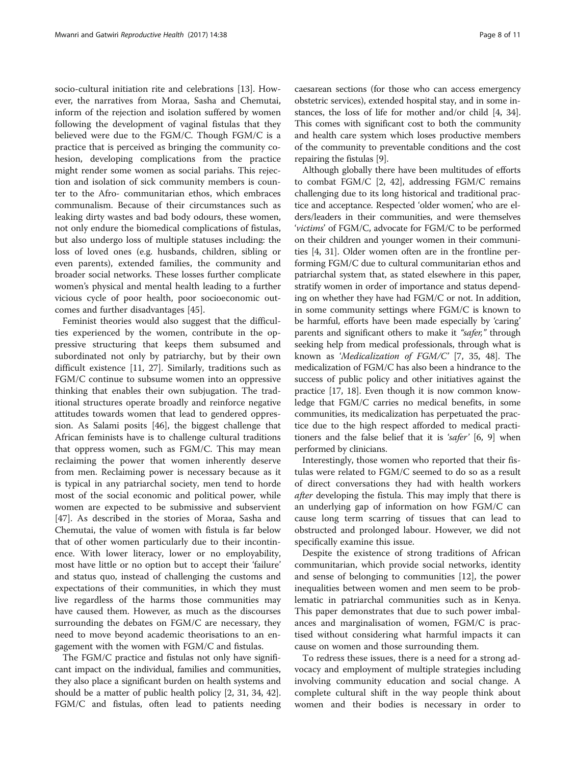socio-cultural initiation rite and celebrations [[13](#page-9-0)]. However, the narratives from Moraa, Sasha and Chemutai, inform of the rejection and isolation suffered by women following the development of vaginal fistulas that they believed were due to the FGM/C. Though FGM/C is a practice that is perceived as bringing the community cohesion, developing complications from the practice might render some women as social pariahs. This rejection and isolation of sick community members is counter to the Afro- communitarian ethos, which embraces communalism. Because of their circumstances such as leaking dirty wastes and bad body odours, these women, not only endure the biomedical complications of fistulas, but also undergo loss of multiple statuses including: the loss of loved ones (e.g. husbands, children, sibling or even parents), extended families, the community and broader social networks. These losses further complicate women's physical and mental health leading to a further vicious cycle of poor health, poor socioeconomic outcomes and further disadvantages [[45\]](#page-9-0).

Feminist theories would also suggest that the difficulties experienced by the women, contribute in the oppressive structuring that keeps them subsumed and subordinated not only by patriarchy, but by their own difficult existence [\[11](#page-9-0), [27\]](#page-9-0). Similarly, traditions such as FGM/C continue to subsume women into an oppressive thinking that enables their own subjugation. The traditional structures operate broadly and reinforce negative attitudes towards women that lead to gendered oppression. As Salami posits [\[46](#page-9-0)], the biggest challenge that African feminists have is to challenge cultural traditions that oppress women, such as FGM/C. This may mean reclaiming the power that women inherently deserve from men. Reclaiming power is necessary because as it is typical in any patriarchal society, men tend to horde most of the social economic and political power, while women are expected to be submissive and subservient [[47\]](#page-9-0). As described in the stories of Moraa, Sasha and Chemutai, the value of women with fistula is far below that of other women particularly due to their incontinence. With lower literacy, lower or no employability, most have little or no option but to accept their 'failure' and status quo, instead of challenging the customs and expectations of their communities, in which they must live regardless of the harms those communities may have caused them. However, as much as the discourses surrounding the debates on FGM/C are necessary, they need to move beyond academic theorisations to an engagement with the women with FGM/C and fistulas.

The FGM/C practice and fistulas not only have significant impact on the individual, families and communities, they also place a significant burden on health systems and should be a matter of public health policy [\[2, 31, 34](#page-9-0), [42](#page-9-0)]. FGM/C and fistulas, often lead to patients needing

caesarean sections (for those who can access emergency obstetric services), extended hospital stay, and in some instances, the loss of life for mother and/or child [\[4](#page-9-0), [34](#page-9-0)]. This comes with significant cost to both the community and health care system which loses productive members of the community to preventable conditions and the cost repairing the fistulas [[9\]](#page-9-0).

Although globally there have been multitudes of efforts to combat FGM/C [[2, 42](#page-9-0)], addressing FGM/C remains challenging due to its long historical and traditional practice and acceptance. Respected 'older women', who are elders/leaders in their communities, and were themselves 'victims' of FGM/C, advocate for FGM/C to be performed on their children and younger women in their communities [\[4](#page-9-0), [31\]](#page-9-0). Older women often are in the frontline performing FGM/C due to cultural communitarian ethos and patriarchal system that, as stated elsewhere in this paper, stratify women in order of importance and status depending on whether they have had FGM/C or not. In addition, in some community settings where FGM/C is known to be harmful, efforts have been made especially by 'caring' parents and significant others to make it "safer," through seeking help from medical professionals, through what is known as 'Medicalization of FGM/C' [[7](#page-9-0), [35, 48\]](#page-9-0). The medicalization of FGM/C has also been a hindrance to the success of public policy and other initiatives against the practice [\[17, 18](#page-9-0)]. Even though it is now common knowledge that FGM/C carries no medical benefits, in some communities, its medicalization has perpetuated the practice due to the high respect afforded to medical practi-tioners and the false belief that it is 'safer' [[6, 9](#page-9-0)] when performed by clinicians.

Interestingly, those women who reported that their fistulas were related to FGM/C seemed to do so as a result of direct conversations they had with health workers after developing the fistula. This may imply that there is an underlying gap of information on how FGM/C can cause long term scarring of tissues that can lead to obstructed and prolonged labour. However, we did not specifically examine this issue.

Despite the existence of strong traditions of African communitarian, which provide social networks, identity and sense of belonging to communities [[12](#page-9-0)], the power inequalities between women and men seem to be problematic in patriarchal communities such as in Kenya. This paper demonstrates that due to such power imbalances and marginalisation of women, FGM/C is practised without considering what harmful impacts it can cause on women and those surrounding them.

To redress these issues, there is a need for a strong advocacy and employment of multiple strategies including involving community education and social change. A complete cultural shift in the way people think about women and their bodies is necessary in order to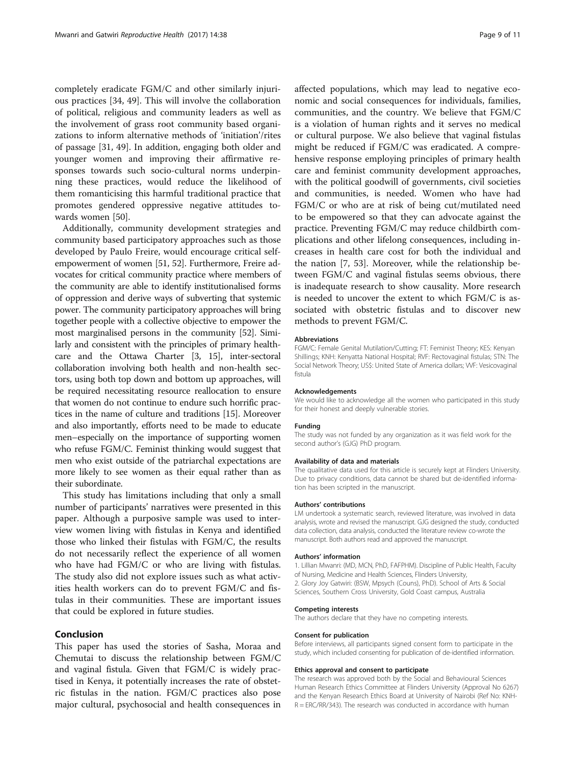completely eradicate FGM/C and other similarly injurious practices [\[34](#page-9-0), [49](#page-9-0)]. This will involve the collaboration of political, religious and community leaders as well as the involvement of grass root community based organizations to inform alternative methods of 'initiation'/rites of passage [\[31, 49](#page-9-0)]. In addition, engaging both older and younger women and improving their affirmative responses towards such socio-cultural norms underpinning these practices, would reduce the likelihood of them romanticising this harmful traditional practice that promotes gendered oppressive negative attitudes towards women [[50](#page-10-0)].

Additionally, community development strategies and community based participatory approaches such as those developed by Paulo Freire, would encourage critical selfempowerment of women [[51](#page-10-0), [52\]](#page-10-0). Furthermore, Freire advocates for critical community practice where members of the community are able to identify institutionalised forms of oppression and derive ways of subverting that systemic power. The community participatory approaches will bring together people with a collective objective to empower the most marginalised persons in the community [\[52](#page-10-0)]. Similarly and consistent with the principles of primary healthcare and the Ottawa Charter [\[3, 15](#page-9-0)], inter-sectoral collaboration involving both health and non-health sectors, using both top down and bottom up approaches, will be required necessitating resource reallocation to ensure that women do not continue to endure such horrific practices in the name of culture and traditions [[15](#page-9-0)]. Moreover and also importantly, efforts need to be made to educate men–especially on the importance of supporting women who refuse FGM/C. Feminist thinking would suggest that men who exist outside of the patriarchal expectations are more likely to see women as their equal rather than as their subordinate.

This study has limitations including that only a small number of participants' narratives were presented in this paper. Although a purposive sample was used to interview women living with fistulas in Kenya and identified those who linked their fistulas with FGM/C, the results do not necessarily reflect the experience of all women who have had FGM/C or who are living with fistulas. The study also did not explore issues such as what activities health workers can do to prevent FGM/C and fistulas in their communities. These are important issues that could be explored in future studies.

### Conclusion

This paper has used the stories of Sasha, Moraa and Chemutai to discuss the relationship between FGM/C and vaginal fistula. Given that FGM/C is widely practised in Kenya, it potentially increases the rate of obstetric fistulas in the nation. FGM/C practices also pose major cultural, psychosocial and health consequences in affected populations, which may lead to negative economic and social consequences for individuals, families, communities, and the country. We believe that FGM/C is a violation of human rights and it serves no medical or cultural purpose. We also believe that vaginal fistulas might be reduced if FGM/C was eradicated. A comprehensive response employing principles of primary health care and feminist community development approaches, with the political goodwill of governments, civil societies and communities, is needed. Women who have had FGM/C or who are at risk of being cut/mutilated need to be empowered so that they can advocate against the practice. Preventing FGM/C may reduce childbirth complications and other lifelong consequences, including increases in health care cost for both the individual and the nation [[7,](#page-9-0) [53\]](#page-10-0). Moreover, while the relationship between FGM/C and vaginal fistulas seems obvious, there is inadequate research to show causality. More research is needed to uncover the extent to which FGM/C is associated with obstetric fistulas and to discover new methods to prevent FGM/C.

#### Abbreviations

FGM/C: Female Genital Mutilation/Cutting; FT: Feminist Theory; KES: Kenyan Shillings; KNH: Kenyatta National Hospital; RVF: Rectovaginal fistulas; STN: The Social Network Theory; US\$: United State of America dollars; VVF: Vesicovaginal fistula

#### Acknowledgements

We would like to acknowledge all the women who participated in this study for their honest and deeply vulnerable stories.

#### Funding

The study was not funded by any organization as it was field work for the second author's (GJG) PhD program.

#### Availability of data and materials

The qualitative data used for this article is securely kept at Flinders University. Due to privacy conditions, data cannot be shared but de-identified information has been scripted in the manuscript.

#### Authors' contributions

LM undertook a systematic search, reviewed literature, was involved in data analysis, wrote and revised the manuscript. GJG designed the study, conducted data collection, data analysis, conducted the literature review co-wrote the manuscript. Both authors read and approved the manuscript.

#### Authors' information

1. Lillian Mwanri: (MD, MCN, PhD, FAFPHM). Discipline of Public Health, Faculty of Nursing, Medicine and Health Sciences, Flinders University, 2. Glory Joy Gatwiri: (BSW, Mpsych (Couns), PhD). School of Arts & Social Sciences, Southern Cross University, Gold Coast campus, Australia

#### Competing interests

The authors declare that they have no competing interests.

#### Consent for publication

Before interviews, all participants signed consent form to participate in the study, which included consenting for publication of de-identified information.

#### Ethics approval and consent to participate

The research was approved both by the Social and Behavioural Sciences Human Research Ethics Committee at Flinders University (Approval No 6267) and the Kenyan Research Ethics Board at University of Nairobi (Ref No: KNH-R = ERC/RR/343). The research was conducted in accordance with human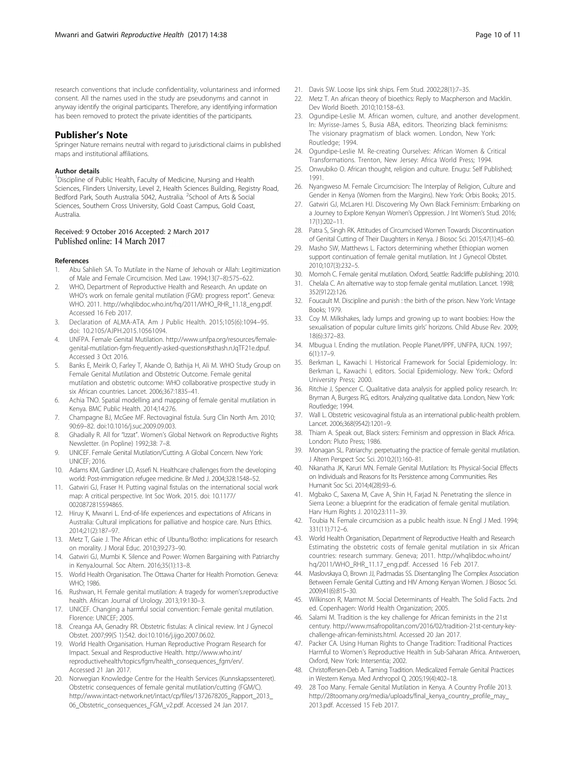<span id="page-9-0"></span>research conventions that include confidentiality, voluntariness and informed consent. All the names used in the study are pseudonyms and cannot in anyway identify the original participants. Therefore, any identifying information has been removed to protect the private identities of the participants.

### Publisher's Note

Springer Nature remains neutral with regard to jurisdictional claims in published maps and institutional affiliations.

#### Author details

<sup>1</sup> Discipline of Public Health, Faculty of Medicine, Nursing and Health Sciences, Flinders University, Level 2, Health Sciences Building, Registry Road, Bedford Park, South Australia 5042, Australia. <sup>2</sup>School of Arts & Social Sciences, Southern Cross University, Gold Coast Campus, Gold Coast, Australia.

### Received: 9 October 2016 Accepted: 2 March 2017 Published online: 14 March 2017

#### References

- 1. Abu Sahlieh SA. To Mutilate in the Name of Jehovah or Allah: Legitimization of Male and Female Circumcision. Med Law. 1994;13(7–8):575–622.
- 2. WHO, Department of Reproductive Health and Research. An update on WHO's work on female genital mutilation (FGM): progress report". Geneva: WHO. 2011. [http://whqlibdoc.who.int/hq/2011/WHO\\_RHR\\_11.18\\_eng.pdf](http://whqlibdoc.who.int/hq/2011/WHO_RHR_11.18_eng.pdf). Accessed 16 Feb 2017.
- 3. Declaration of ALMA-ATA. Am J Public Health. 2015;105(6):1094–95. doi: [10.2105/AJPH.2015.10561094](http://dx.doi.org/10.2105/AJPH.2015.10561094).
- 4. UNFPA. Female Genital Mutilation. [http://www.unfpa.org/resources/female](http://www.unfpa.org/resources/female-genital-mutilation-fgm-frequently-asked-questions#sthash.nJqTF21e.dpuf)[genital-mutilation-fgm-frequently-asked-questions#sthash.nJqTF21e.dpuf](http://www.unfpa.org/resources/female-genital-mutilation-fgm-frequently-asked-questions#sthash.nJqTF21e.dpuf). Accessed 3 Oct 2016.
- 5. Banks E, Meirik O, Farley T, Akande O, Bathija H, Ali M. WHO Study Group on Female Genital Mutilation and Obstetric Outcome. Female genital mutilation and obstetric outcome: WHO collaborative prospective study in six African countries. Lancet. 2006;367:1835–41.
- 6. Achia TNO. Spatial modelling and mapping of female genital mutilation in Kenya. BMC Public Health. 2014;14:276.
- 7. Champagne BJ, McGee MF. Rectovaginal fistula. Surg Clin North Am. 2010; 90:69–82. doi:[10.1016/j.suc.2009.09.003.](http://dx.doi.org/10.1016/j.suc.2009.09.003)
- 8. Ghadially R. All for "Izzat". Women's Global Network on Reproductive Rights Newsletter. (in Popline) 1992;38: 7–8.
- 9. UNICEF. Female Genital Mutilation/Cutting. A Global Concern. New York: UNICEF; 2016.
- 10. Adams KM, Gardiner LD, Assefi N. Healthcare challenges from the developing world: Post-immigration refugee medicine. Br Med J. 2004;328:1548–52.
- 11. Gatwiri GJ, Fraser H. Putting vaginal fistulas on the international social work map: A critical perspective. Int Soc Work. 2015. doi: [10.1177/](http://dx.doi.org/10.1177/0020872815594865) [0020872815594865](http://dx.doi.org/10.1177/0020872815594865).
- 12. Hiruy K, Mwanri L. End-of-life experiences and expectations of Africans in Australia: Cultural implications for palliative and hospice care. Nurs Ethics. 2014;21(2):187–97.
- 13. Metz T, Gaie J. The African ethic of Ubuntu/Botho: implications for research on morality. J Moral Educ. 2010;39:273–90.
- 14. Gatwiri GJ, Mumbi K. Silence and Power: Women Bargaining with Patriarchy in KenyaJournal. Soc Altern. 2016;35(1):13–8.
- 15. World Health Organisation. The Ottawa Charter for Health Promotion. Geneva: WHO; 1986.
- 16. Rushwan, H. Female genital mutilation: A tragedy for women's.reproductive health. African Journal of Urology. 2013;19:130–3.
- 17. UNICEF. Changing a harmful social convention: Female genital mutilation. Florence: UNICEF; 2005.
- 18. Creanga AA, Genadry RR. Obstetric fistulas: A clinical review. Int J Gynecol Obstet. 2007;99(S 1):S42. doi:[10.1016/j.ijgo.2007.06.02](http://dx.doi.org/10.1016/j.ijgo.2007.06.02).
- 19. World Health Organisation. Human Reproductive Program Research for Impact. Sexual and Resproductive Health. [http://www.who.int/](http://www.who.int/reproductivehealth/topics/fgm/health_consequences_fgm/en/) [reproductivehealth/topics/fgm/health\\_consequences\\_fgm/en/.](http://www.who.int/reproductivehealth/topics/fgm/health_consequences_fgm/en/) Accessed 21 Jan 2017.
- 20. Norwegian Knowledge Centre for the Health Services (Kunnskapssenteret). Obstetric consequences of female genital mutilation/cutting (FGM/C). [http://www.intact-network.net/intact/cp/files/1372678205\\_Rapport\\_2013\\_](http://www.intact-network.net/intact/cp/files/1372678205_Rapport_2013_06_Obstetric_consequences_FGM_v2.pdf) [06\\_Obstetric\\_consequences\\_FGM\\_v2.pdf](http://www.intact-network.net/intact/cp/files/1372678205_Rapport_2013_06_Obstetric_consequences_FGM_v2.pdf). Accessed 24 Jan 2017.
- 21. Davis SW. Loose lips sink ships. Fem Stud. 2002;28(1):7–35.
- 22. Metz T. An african theory of bioethics: Reply to Macpherson and Macklin. Dev World Bioeth. 2010;10:158–63.
- 23. Ogundipe-Leslie M. African women, culture, and another development. In: Myrisse-James S, Busia ABA, editors. Theorizing black feminisms: The visionary pragmatism of black women. London, New York: Routledge; 1994.
- 24. Ogundipe-Leslie M. Re-creating Ourselves: African Women & Critical Transformations. Trenton, New Jersey: Africa World Press; 1994.
- 25. Onwubiko O. African thought, religion and culture. Enugu: Self Published; 1991.
- 26. Nyangweso M. Female Circumcision: The Interplay of Religion, Culture and Gender in Kenya (Women from the Margins). New York: Orbis Books; 2015.
- 27. Gatwiri GJ, McLaren HJ. Discovering My Own Black Feminism: Embarking on a Journey to Explore Kenyan Women's Oppression. J Int Women's Stud. 2016; 17(1):202–11.
- 28. Patra S, Singh RK. Attitudes of Circumcised Women Towards Discontinuation of Genital Cutting of Their Daughters in Kenya. J Biosoc Sci. 2015;47(1):45–60.
- 29. Masho SW, Matthews L. Factors determining whether Ethiopian women support continuation of female genital mutilation. Int J Gynecol Obstet. 2010;107(3):232–5.
- 30. Momoh C. Female genital mutilation. Oxford, Seattle: Radcliffe publishing; 2010.
- 31. Chelala C. An alternative way to stop female genital mutilation. Lancet. 1998; 352(9122):126.
- 32. Foucault M. Discipline and punish : the birth of the prison. New York: Vintage Books; 1979.
- 33. Coy M. Milkshakes, lady lumps and growing up to want boobies: How the sexualisation of popular culture limits girls' horizons. Child Abuse Rev. 2009; 18(6):372–83.
- 34. Mbugua I. Ending the mutilation. People Planet/IPPF, UNFPA, IUCN. 1997; 6(1):17–9.
- 35. Berkman L, Kawachi I. Historical Framework for Social Epidemiology. In: Berkman L, Kawachi I, editors. Social Epidemiology. New York.: Oxford University Press; 2000.
- 36. Ritchie J, Spencer C. Qualitative data analysis for applied policy research. In: Bryman A, Burgess RG, editors. Analyzing qualitative data. London, New York: Routledge; 1994.
- 37. Wall L. Obstetric vesicovaginal fistula as an international public-health problem. Lancet. 2006;368(9542):1201–9.
- 38. Thiam A. Speak out, Black sisters: Feminism and oppression in Black Africa. London: Pluto Press; 1986.
- 39. Monagan SL. Patriarchy: perpetuating the practice of female genital mutilation. J Altern Perspect Soc Sci. 2010;2(1):160–81.
- 40. Nkanatha JK, Karuri MN. Female Genital Mutilation: Its Physical-Social Effects on Individuals and Reasons for Its Persistence among Communities. Res Humanit Soc Sci. 2014;4(28):93–6.
- 41. Mgbako C, Saxena M, Cave A, Shin H, Farjad N. Penetrating the silence in Sierra Leone: a blueprint for the eradication of female genital mutilation. Harv Hum Rights J. 2010;23:111–39.
- 42. Toubia N. Female circumcision as a public health issue. N Engl J Med. 1994; 331(11):712–6.
- 43. World Health Organisation, Department of Reproductive Health and Research Estimating the obstetric costs of female genital mutilation in six African countries: research summary. Geneva; 2011. [http://whqlibdoc.who.int/](http://whqlibdoc.who.int/hq/2011/WHO_RHR_11.17_eng.pdf) [hq/2011/WHO\\_RHR\\_11.17\\_eng.pdf](http://whqlibdoc.who.int/hq/2011/WHO_RHR_11.17_eng.pdf). Accessed 16 Feb 2017.
- 44. Maslovskaya O, Brown JJ, Padmadas SS. Disentangling The Complex Association Between Female Genital Cutting and HIV Among Kenyan Women. J Biosoc Sci. 2009;41(6):815–30.
- 45. Wilkinson R, Marmot M. Social Determinants of Health. The Solid Facts. 2nd ed. Copenhagen: World Health Organization; 2005.
- 46. Salami M. Tradition is the key challenge for African feminists in the 21st century. [http://www.msafropolitan.com/2016/02/tradition-21st-century-key](http://www.msafropolitan.com/2016/02/tradition-21st-century-key-challenge-african-feminists.html)[challenge-african-feminists.html.](http://www.msafropolitan.com/2016/02/tradition-21st-century-key-challenge-african-feminists.html) Accessed 20 Jan 2017.
- 47. Packer CA. Using Human Rights to Change Tradition: Traditional Practices Harmful to Women's Reproductive Health in Sub-Saharan Africa. Antweroen, Oxford, New York: Intersentia; 2002.
- 48. Christoffersen-Deb A. Taming Tradition. Medicalized Female Genital Practices in Western Kenya. Med Anthropol Q. 2005;19(4):402–18.
- 49. 28 Too Many. Female Genital Mutilation in Kenya. A Country Profile 2013. [http://28toomany.org/media/uploads/final\\_kenya\\_country\\_profile\\_may\\_](http://28toomany.org/media/uploads/final_kenya_country_profile_may_2013.pdf) [2013.pdf](http://28toomany.org/media/uploads/final_kenya_country_profile_may_2013.pdf). Accessed 15 Feb 2017.